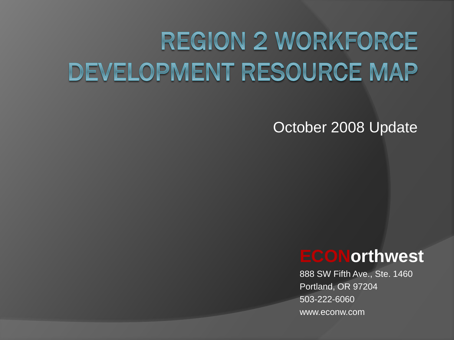# **REGION 2 WORKFORCE DEVELOPMENT RESOURCE MAP**

#### October 2008 Update

#### **ECONorthwest**

888 SW Fifth Ave., Ste. 1460 Portland, OR 97204 503-222-6060 www.econw.com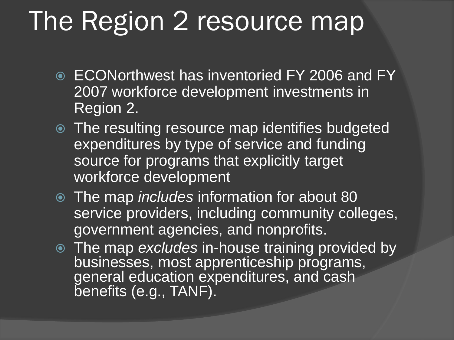# The Region 2 resource map

- ECONorthwest has inventoried FY 2006 and FY 2007 workforce development investments in Region 2.
- The resulting resource map identifies budgeted expenditures by type of service and funding source for programs that explicitly target workforce development
- The map *includes* information for about 80 service providers, including community colleges, government agencies, and nonprofits.
- The map *excludes* in-house training provided by businesses, most apprenticeship programs, general education expenditures, and cash benefits (e.g., TANF).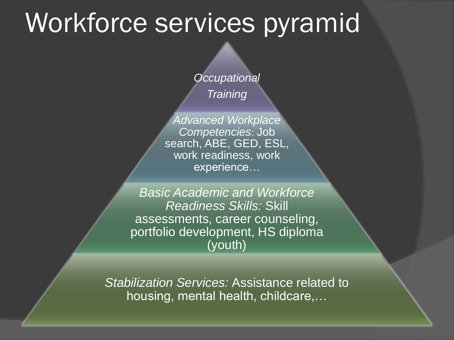### Workforce services pyramid

*Occupational*

*Training*

*Advanced Workplace Competencies*: Job search, ABE, GED, ESL, work readiness, work experience…

*Basic Academic and Workforce Readiness Skills:* Skill assessments, career counseling, portfolio development, HS diploma (youth)

*Stabilization Services:* Assistance related to housing, mental health, childcare,…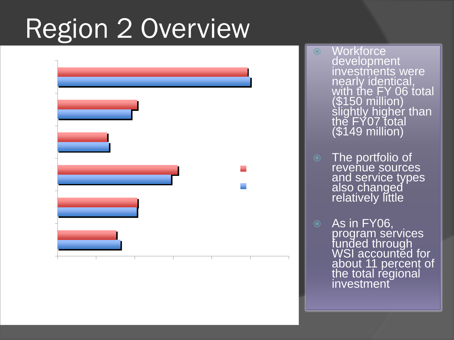# Region 2 Overview



 Workforce development investments were nearly identical, with the FY 06 total (\$150 million) sligh<u>tly hig</u>her than the FY07 total (\$149 million)

- The portfolio of revenue sources and service types also changed relatively little
- $\odot$  As in FY06, program services funded through WSI accounted for about 11 percent of the total regional investment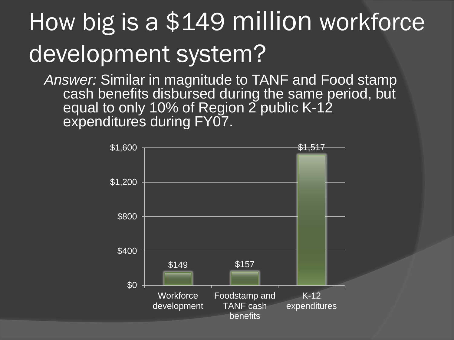# How big is a \$149 million workforce development system?

*Answer:* Similar in magnitude to TANF and Food stamp cash benefits disbursed during the same period, but equal to only 10% of Region 2 public K-12 expenditures during FY07.

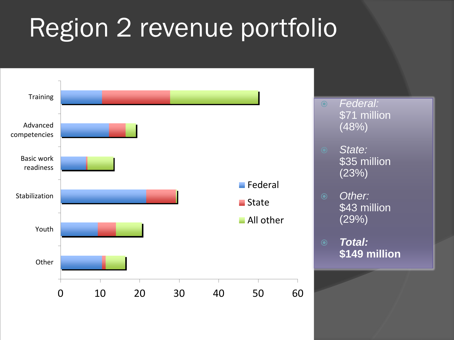# Region 2 revenue portfolio

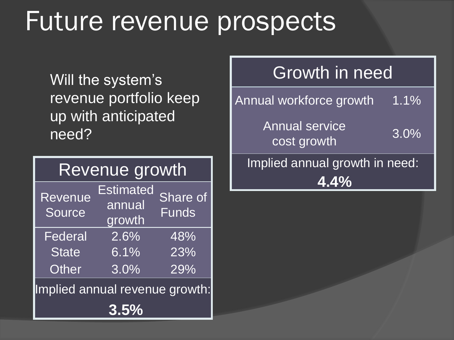# Future revenue prospects

Will the system's revenue portfolio keep up with anticipated need?

| Revenue growth                 |                                      |                          |
|--------------------------------|--------------------------------------|--------------------------|
| Revenue<br>Source              | <b>Estimated</b><br>annual<br>growth | Share of<br><b>Funds</b> |
| Federal                        | 2.6%                                 | 48%                      |
| State                          | 6.1%                                 | 23%                      |
| <b>Other</b>                   | 3.0%                                 | 29%                      |
| Implied annual revenue growth: |                                      |                          |
|                                | 3.5%                                 |                          |

#### Growth in need

Annual workforce growth 1.1% Annual service cost growth 3.0% Implied annual growth in need: **4.4%**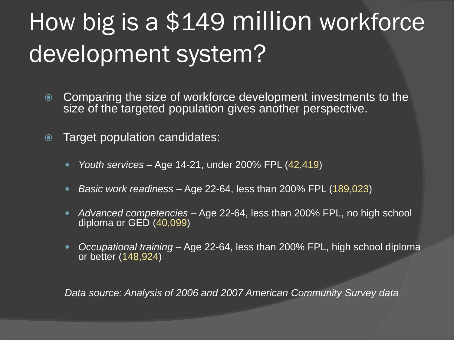# How big is a \$149 million workforce development system?

- Comparing the size of workforce development investments to the size of the targeted population gives another perspective.
- Target population candidates:
	- *Youth services*  Age 14-21, under 200% FPL (42,419)
	- *Basic work readiness*  Age 22-64, less than 200% FPL (189,023)
	- *Advanced competencies*  Age 22-64, less than 200% FPL, no high school diploma or GED (40,099)
	- *Occupational training*  Age 22-64, less than 200% FPL, high school diploma or better (148,924)

*Data source: Analysis of 2006 and 2007 American Community Survey data*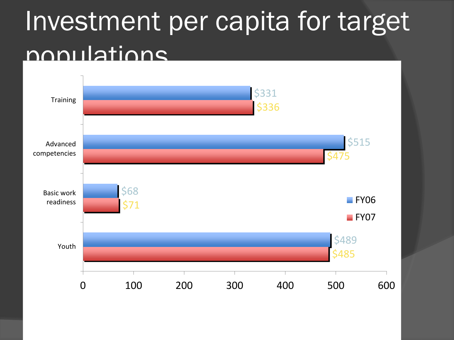# Investment per capita for target populations

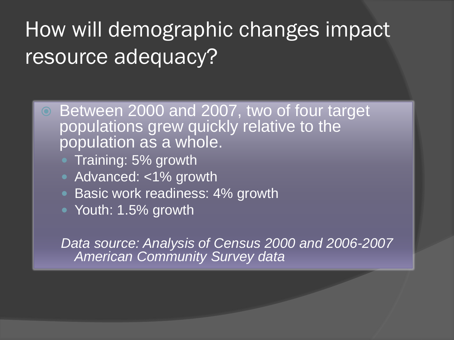#### How will demographic changes impact resource adequacy?

- Between 2000 and 2007, two of four target populations grew quickly relative to the population as a whole.
	- Training: 5% growth
	- Advanced: <1% growth
	- Basic work readiness: 4% growth
	- Youth: 1.5% growth

*Data source: Analysis of Census 2000 and 2006-2007 American Community Survey data*